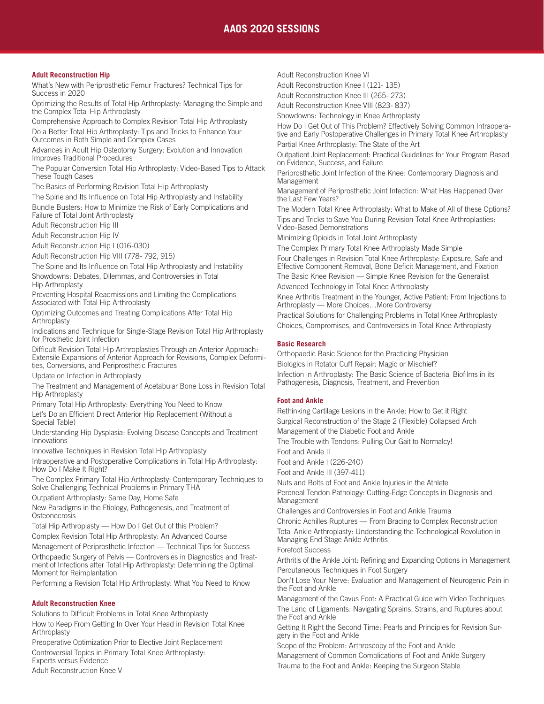# **AAOS 2020 SESSIONS**

#### **Adult Reconstruction Hip**

What's New with Periprosthetic Femur Fractures? Technical Tips for Success in 2020

Optimizing the Results of Total Hip Arthroplasty: Managing the Simple and the Complex Total Hip Arthroplasty

Comprehensive Approach to Complex Revision Total Hip Arthroplasty Do a Better Total Hip Arthroplasty: Tips and Tricks to Enhance Your Outcomes in Both Simple and Complex Cases

Advances in Adult Hip Osteotomy Surgery: Evolution and Innovation Improves Traditional Procedures

The Popular Conversion Total Hip Arthroplasty: Video-Based Tips to Attack These Tough Cases

The Basics of Performing Revision Total Hip Arthroplasty

The Spine and Its Influence on Total Hip Arthroplasty and Instability Bundle Busters: How to Minimize the Risk of Early Complications and Failure of Total Joint Arthroplasty

Adult Reconstruction Hip III

Adult Reconstruction Hip IV

Adult Reconstruction Hip I (016-030)

Adult Reconstruction Hip VIII (778- 792, 915)

The Spine and Its Influence on Total Hip Arthroplasty and Instability

Showdowns: Debates, Dilemmas, and Controversies in Total Hip Arthroplasty

Preventing Hospital Readmissions and Limiting the Complications Associated with Total Hip Arthroplasty

Optimizing Outcomes and Treating Complications After Total Hip Arthroplasty

Indications and Technique for Single-Stage Revision Total Hip Arthroplasty for Prosthetic Joint Infection

Difficult Revision Total Hip Arthroplasties Through an Anterior Approach: Extensile Expansions of Anterior Approach for Revisions, Complex Deformities, Conversions, and Periprosthetic Fractures

Update on Infection in Arthroplasty

The Treatment and Management of Acetabular Bone Loss in Revision Total Hip Arthroplasty

Primary Total Hip Arthroplasty: Everything You Need to Know

Let's Do an Efficient Direct Anterior Hip Replacement (Without a Special Table)

Understanding Hip Dysplasia: Evolving Disease Concepts and Treatment Innovations

Innovative Techniques in Revision Total Hip Arthroplasty

Intraoperative and Postoperative Complications in Total Hip Arthroplasty: How Do I Make It Right?

The Complex Primary Total Hip Arthroplasty: Contemporary Techniques to Solve Challenging Technical Problems in Primary THA

Outpatient Arthroplasty: Same Day, Home Safe

New Paradigms in the Etiology, Pathogenesis, and Treatment of **Osteonecrosis** 

Total Hip Arthroplasty — How Do I Get Out of this Problem?

Complex Revision Total Hip Arthroplasty: An Advanced Course

Management of Periprosthetic Infection — Technical Tips for Success Orthopaedic Surgery of Pelvis — Controversies in Diagnostics and Treatment of Infections after Total Hip Arthroplasty: Determining the Optimal Moment for Reimplantation

Performing a Revision Total Hip Arthroplasty: What You Need to Know

#### **Adult Reconstruction Knee**

Solutions to Difficult Problems in Total Knee Arthroplasty How to Keep From Getting In Over Your Head in Revision Total Knee

Arthroplasty Preoperative Optimization Prior to Elective Joint Replacement

Controversial Topics in Primary Total Knee Arthroplasty: Experts versus Evidence

Adult Reconstruction Knee V

Adult Reconstruction Knee VI

Adult Reconstruction Knee I (121- 135)

Adult Reconstruction Knee III (265- 273)

Adult Reconstruction Knee VIII (823- 837)

Showdowns: Technology in Knee Arthroplasty

How Do I Get Out of This Problem? Effectively Solving Common Intraoperative and Early Postoperative Challenges in Primary Total Knee Arthroplasty Partial Knee Arthroplasty: The State of the Art

Outpatient Joint Replacement: Practical Guidelines for Your Program Based on Evidence, Success, and Failure

Periprosthetic Joint Infection of the Knee: Contemporary Diagnosis and **Management** 

Management of Periprosthetic Joint Infection: What Has Happened Over the Last Few Years?

The Modern Total Knee Arthroplasty: What to Make of All of these Options? Tips and Tricks to Save You During Revision Total Knee Arthroplasties: Video-Based Demonstrations

Minimizing Opioids in Total Joint Arthroplasty

The Complex Primary Total Knee Arthroplasty Made Simple Four Challenges in Revision Total Knee Arthroplasty: Exposure, Safe and Effective Component Removal, Bone Deficit Management, and Fixation The Basic Knee Revision — Simple Knee Revision for the Generalist Advanced Technology in Total Knee Arthroplasty

Knee Arthritis Treatment in the Younger, Active Patient: From Injections to Arthroplasty — More Choices…More Controversy

Practical Solutions for Challenging Problems in Total Knee Arthroplasty Choices, Compromises, and Controversies in Total Knee Arthroplasty

# **Basic Research**

Orthopaedic Basic Science for the Practicing Physician Biologics in Rotator Cuff Repair: Magic or Mischief? Infection in Arthroplasty: The Basic Science of Bacterial Biofilms in its Pathogenesis, Diagnosis, Treatment, and Prevention

#### **Foot and Ankle**

Rethinking Cartilage Lesions in the Ankle: How to Get it Right Surgical Reconstruction of the Stage 2 (Flexible) Collapsed Arch Management of the Diabetic Foot and Ankle

The Trouble with Tendons: Pulling Our Gait to Normalcy!

Foot and Ankle II

Foot and Ankle I (226-240)

Foot and Ankle III (397-411)

Nuts and Bolts of Foot and Ankle Injuries in the Athlete

Peroneal Tendon Pathology: Cutting-Edge Concepts in Diagnosis and Management

Challenges and Controversies in Foot and Ankle Trauma

Chronic Achilles Ruptures — From Bracing to Complex Reconstruction Total Ankle Arthroplasty: Understanding the Technological Revolution in Managing End Stage Ankle Arthritis

#### Forefoot Success

Arthritis of the Ankle Joint: Refining and Expanding Options in Management Percutaneous Techniques in Foot Surgery

Don't Lose Your Nerve: Evaluation and Management of Neurogenic Pain in the Foot and Ankle

Management of the Cavus Foot: A Practical Guide with Video Techniques The Land of Ligaments: Navigating Sprains, Strains, and Ruptures about the Foot and Ankle

Getting It Right the Second Time: Pearls and Principles for Revision Surgery in the Foot and Ankle

Scope of the Problem: Arthroscopy of the Foot and Ankle

Management of Common Complications of Foot and Ankle Surgery Trauma to the Foot and Ankle: Keeping the Surgeon Stable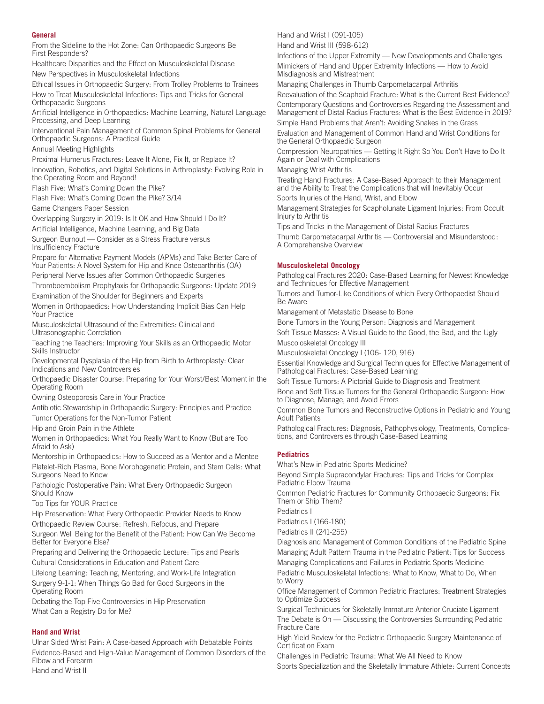#### **General**

From the Sideline to the Hot Zone: Can Orthopaedic Surgeons Be First Responders?

Healthcare Disparities and the Effect on Musculoskeletal Disease New Perspectives in Musculoskeletal Infections

Ethical Issues in Orthopaedic Surgery: From Trolley Problems to Trainees How to Treat Musculoskeletal Infections: Tips and Tricks for General Orthopaeadic Surgeons

Artificial Intelligence in Orthopaedics: Machine Learning, Natural Language Processing, and Deep Learning

Interventional Pain Management of Common Spinal Problems for General Orthopaedic Surgeons: A Practical Guide

Annual Meeting Highlights

Proximal Humerus Fractures: Leave It Alone, Fix It, or Replace It?

Innovation, Robotics, and Digital Solutions in Arthroplasty: Evolving Role in the Operating Room and Beyond!

Flash Five: What's Coming Down the Pike?

Flash Five: What's Coming Down the Pike? 3/14

Game Changers Paper Session

Overlapping Surgery in 2019: Is It OK and How Should I Do It?

Artificial Intelligence, Machine Learning, and Big Data

Surgeon Burnout — Consider as a Stress Fracture versus Insufficiency Fracture

Prepare for Alternative Payment Models (APMs) and Take Better Care of Your Patients: A Novel System for Hip and Knee Osteoarthritis (OA) Peripheral Nerve Issues after Common Orthopaedic Surgeries

Thromboembolism Prophylaxis for Orthopaedic Surgeons: Update 2019 Examination of the Shoulder for Beginners and Experts

Women in Orthopaedics: How Understanding Implicit Bias Can Help Your Practice

Musculoskeletal Ultrasound of the Extremities: Clinical and Ultrasonographic Correlation

Teaching the Teachers: Improving Your Skills as an Orthopaedic Motor Skills Instructor

Developmental Dysplasia of the Hip from Birth to Arthroplasty: Clear Indications and New Controversies

Orthopaedic Disaster Course: Preparing for Your Worst/Best Moment in the Operating Room

Owning Osteoporosis Care in Your Practice

Antibiotic Stewardship in Orthopaedic Surgery: Principles and Practice Tumor Operations for the Non-Tumor Patient

Hip and Groin Pain in the Athlete

Women in Orthopaedics: What You Really Want to Know (But are Too Afraid to Ask)

Mentorship in Orthopaedics: How to Succeed as a Mentor and a Mentee Platelet-Rich Plasma, Bone Morphogenetic Protein, and Stem Cells: What Surgeons Need to Know

Pathologic Postoperative Pain: What Every Orthopaedic Surgeon Should Know

Top Tips for YOUR Practice

Hip Preservation: What Every Orthopaedic Provider Needs to Know Orthopaedic Review Course: Refresh, Refocus, and Prepare Surgeon Well Being for the Benefit of the Patient: How Can We Become Better for Everyone Else?

Preparing and Delivering the Orthopaedic Lecture: Tips and Pearls Cultural Considerations in Education and Patient Care

Lifelong Learning: Teaching, Mentoring, and Work-Life Integration Surgery 9-1-1: When Things Go Bad for Good Surgeons in the Operating Room

Debating the Top Five Controversies in Hip Preservation What Can a Registry Do for Me?

#### **Hand and Wrist**

Ulnar Sided Wrist Pain: A Case-based Approach with Debatable Points Evidence-Based and High-Value Management of Common Disorders of the Elbow and Forearm Hand and Wrist II

Hand and Wrist I (091-105)

Hand and Wrist III (598-612)

Infections of the Upper Extremity — New Developments and Challenges Mimickers of Hand and Upper Extremity Infections — How to Avoid Misdiagnosis and Mistreatment

Managing Challenges in Thumb Carpometacarpal Arthritis

Reevaluation of the Scaphoid Fracture: What is the Current Best Evidence? Contemporary Questions and Controversies Regarding the Assessment and Management of Distal Radius Fractures: What is the Best Evidence in 2019? Simple Hand Problems that Aren't: Avoiding Snakes in the Grass

Evaluation and Management of Common Hand and Wrist Conditions for

the General Orthopaedic Surgeon Compression Neuropathies — Getting It Right So You Don't Have to Do It Again or Deal with Complications

# Managing Wrist Arthritis

Treating Hand Fractures: A Case-Based Approach to their Management and the Ability to Treat the Complications that will Inevitably Occur Sports Injuries of the Hand, Wrist, and Elbow

Management Strategies for Scapholunate Ligament Injuries: From Occult Injury to Arthritis

Tips and Tricks in the Management of Distal Radius Fractures

Thumb Carpometacarpal Arthritis — Controversial and Misunderstood: A Comprehensive Overview

#### **Musculoskeletal Oncology**

Pathological Fractures 2020: Case-Based Learning for Newest Knowledge and Techniques for Effective Management

Tumors and Tumor-Like Conditions of which Every Orthopaedist Should Be Aware

Management of Metastatic Disease to Bone

Bone Tumors in the Young Person: Diagnosis and Management

Soft Tissue Masses: A Visual Guide to the Good, the Bad, and the Ugly Muscoloskeletal Oncology III

Musculoskeletal Oncology I (106- 120, 916)

Essential Knowledge and Surgical Techniques for Effective Management of Pathological Fractures: Case-Based Learning

Soft Tissue Tumors: A Pictorial Guide to Diagnosis and Treatment

Bone and Soft Tissue Tumors for the General Orthopaedic Surgeon: How to Diagnose, Manage, and Avoid Errors

Common Bone Tumors and Reconstructive Options in Pediatric and Young Adult Patients

Pathological Fractures: Diagnosis, Pathophysiology, Treatments, Complications, and Controversies through Case-Based Learning

#### **Pediatrics**

What's New in Pediatric Sports Medicine?

Beyond Simple Supracondylar Fractures: Tips and Tricks for Complex Pediatric Elbow Trauma

Common Pediatric Fractures for Community Orthopaedic Surgeons: Fix Them or Ship Them?

Pediatrics I

Pediatrics I (166-180)

Pediatrics II (241-255)

Diagnosis and Management of Common Conditions of the Pediatric Spine Managing Adult Pattern Trauma in the Pediatric Patient: Tips for Success Managing Complications and Failures in Pediatric Sports Medicine

Pediatric Musculoskeletal Infections: What to Know, What to Do, When to Worry

Office Management of Common Pediatric Fractures: Treatment Strategies to Optimize Success

Surgical Techniques for Skeletally Immature Anterior Cruciate Ligament The Debate is On — Discussing the Controversies Surrounding Pediatric Fracture Care

High Yield Review for the Pediatric Orthopaedic Surgery Maintenance of Certification Exam

Challenges in Pediatric Trauma: What We All Need to Know Sports Specialization and the Skeletally Immature Athlete: Current Concepts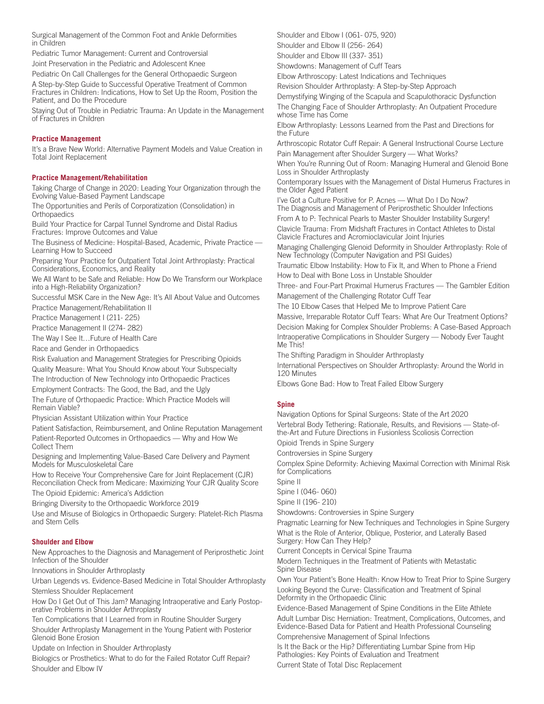Surgical Management of the Common Foot and Ankle Deformities in Children

Pediatric Tumor Management: Current and Controversial

Joint Preservation in the Pediatric and Adolescent Knee

Pediatric On Call Challenges for the General Orthopaedic Surgeon

A Step-by-Step Guide to Successful Operative Treatment of Common Fractures in Children: Indications, How to Set Up the Room, Position the Patient, and Do the Procedure

Staying Out of Trouble in Pediatric Trauma: An Update in the Management of Fractures in Children

## **Practice Management**

It's a Brave New World: Alternative Payment Models and Value Creation in Total Joint Replacement

#### **Practice Management/Rehabilitation**

Taking Charge of Change in 2020: Leading Your Organization through the Evolving Value-Based Payment Landscape

The Opportunities and Perils of Corporatization (Consolidation) in Orthopaedics

Build Your Practice for Carpal Tunnel Syndrome and Distal Radius Fractures: Improve Outcomes and Value

The Business of Medicine: Hospital-Based, Academic, Private Practice — Learning How to Succeed

Preparing Your Practice for Outpatient Total Joint Arthroplasty: Practical Considerations, Economics, and Reality

We All Want to be Safe and Reliable: How Do We Transform our Workplace into a High-Reliability Organization?

Successful MSK Care in the New Age: It's All About Value and Outcomes Practice Management/Rehabilitation II

Practice Management I (211- 225)

Practice Management II (274- 282)

The Way I See It…Future of Health Care

Race and Gender in Orthopaedics

Risk Evaluation and Management Strategies for Prescribing Opioids Quality Measure: What You Should Know about Your Subspecialty

The Introduction of New Technology into Orthopaedic Practices

Employment Contracts: The Good, the Bad, and the Ugly

The Future of Orthopaedic Practice: Which Practice Models will Remain Viable?

Physician Assistant Utilization within Your Practice

Patient Satisfaction, Reimbursement, and Online Reputation Management Patient-Reported Outcomes in Orthopaedics — Why and How We Collect Them

Designing and Implementing Value-Based Care Delivery and Payment Models for Musculoskeletal Care

How to Receive Your Comprehensive Care for Joint Replacement (CJR) Reconciliation Check from Medicare: Maximizing Your CJR Quality Score

The Opioid Epidemic: America's Addiction

Bringing Diversity to the Orthopaedic Workforce 2019

Use and Misuse of Biologics in Orthopaedic Surgery: Platelet-Rich Plasma and Stem Cells

#### **Shoulder and Elbow**

New Approaches to the Diagnosis and Management of Periprosthetic Joint Infection of the Shoulder

Innovations in Shoulder Arthroplasty

Urban Legends vs. Evidence-Based Medicine in Total Shoulder Arthroplasty Stemless Shoulder Replacement

How Do I Get Out of This Jam? Managing Intraoperative and Early Postoperative Problems in Shoulder Arthroplasty

Ten Complications that I Learned from in Routine Shoulder Surgery

Shoulder Arthroplasty Management in the Young Patient with Posterior Glenoid Bone Erosion

Update on Infection in Shoulder Arthroplasty

Biologics or Prosthetics: What to do for the Failed Rotator Cuff Repair? Shoulder and Elbow IV

Shoulder and Elbow I (061- 075, 920)

Shoulder and Elbow II (256- 264)

Shoulder and Elbow III (337- 351)

Showdowns: Management of Cuff Tears

Elbow Arthroscopy: Latest Indications and Techniques

Revision Shoulder Arthroplasty: A Step-by-Step Approach

Demystifying Winging of the Scapula and Scapulothoracic Dysfunction The Changing Face of Shoulder Arthroplasty: An Outpatient Procedure whose Time has Come

Elbow Arthroplasty: Lessons Learned from the Past and Directions for the Future

Arthroscopic Rotator Cuff Repair: A General Instructional Course Lecture Pain Management after Shoulder Surgery — What Works?

When You're Running Out of Room: Managing Humeral and Glenoid Bone Loss in Shoulder Arthroplasty

Contemporary Issues with the Management of Distal Humerus Fractures in the Older Aged Patient

I've Got a Culture Positive for P. Acnes — What Do I Do Now? The Diagnosis and Management of Periprosthetic Shoulder Infections From A to P: Technical Pearls to Master Shoulder Instability Surgery! Clavicle Trauma: From Midshaft Fractures in Contact Athletes to Distal Clavicle Fractures and Acromioclavicular Joint Injuries

Managing Challenging Glenoid Deformity in Shoulder Arthroplasty: Role of New Technology (Computer Navigation and PSI Guides)

Traumatic Elbow Instability: How to Fix It, and When to Phone a Friend How to Deal with Bone Loss in Unstable Shoulder

Three- and Four-Part Proximal Humerus Fractures — The Gambler Edition Management of the Challenging Rotator Cuff Tear

The 10 Elbow Cases that Helped Me to Improve Patient Care

Massive, Irreparable Rotator Cuff Tears: What Are Our Treatment Options? Decision Making for Complex Shoulder Problems: A Case-Based Approach Intraoperative Complications in Shoulder Surgery — Nobody Ever Taught Me This!

The Shifting Paradigm in Shoulder Arthroplasty

International Perspectives on Shoulder Arthroplasty: Around the World in 120 Minutes

Elbows Gone Bad: How to Treat Failed Elbow Surgery

#### **Spine**

Navigation Options for Spinal Surgeons: State of the Art 2020 Vertebral Body Tethering: Rationale, Results, and Revisions — State-ofthe-Art and Future Directions in Fusionless Scoliosis Correction

Opioid Trends in Spine Surgery

Controversies in Spine Surgery

Complex Spine Deformity: Achieving Maximal Correction with Minimal Risk for Complications

Spine II

Spine I (046- 060)

Spine II (196- 210)

Showdowns: Controversies in Spine Surgery

Pragmatic Learning for New Techniques and Technologies in Spine Surgery What is the Role of Anterior, Oblique, Posterior, and Laterally Based Surgery: How Can They Help?

Current Concepts in Cervical Spine Trauma

Modern Techniques in the Treatment of Patients with Metastatic Spine Disease

Own Your Patient's Bone Health: Know How to Treat Prior to Spine Surgery Looking Beyond the Curve: Classification and Treatment of Spinal Deformity in the Orthopaedic Clinic

Evidence-Based Management of Spine Conditions in the Elite Athlete Adult Lumbar Disc Herniation: Treatment, Complications, Outcomes, and Evidence-Based Data for Patient and Health Professional Counseling

Comprehensive Management of Spinal Infections

Is It the Back or the Hip? Differentiating Lumbar Spine from Hip Pathologies: Key Points of Evaluation and Treatment

Current State of Total Disc Replacement